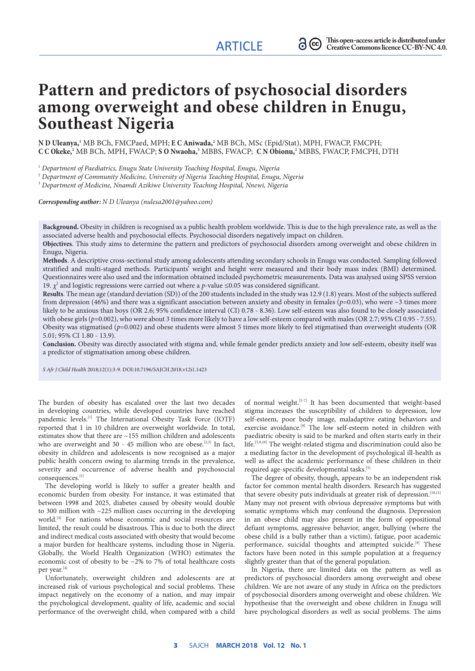# **Pattern and predictors of psychosocial disorders among overweight and obese children in Enugu, Southeast Nigeria**

**N D Uleanya, <sup>1</sup>** MB BCh, FMCPaed, MPH; **E C Aniwada, <sup>2</sup>** MB BCh, MSc (Epid/Stat), MPH, FWACP, FMCPH; **C C Okeke, <sup>2</sup>** MB BCh, MPH, FWACP; **S O Nwaoha, <sup>3</sup>** MBBS, FWACP; **C N Obionu, <sup>2</sup>** MBBS, FWACP, FMCPH, DTH

1  *Department of Paediatrics, Enugu State University Teaching Hospital, Enugu, Nigeria*

2  *Department of Community Medicine, University of Nigeria Teaching Hospital, Enugu, Nigeria*

3  *Department of Medicine, Nnamdi Azikiwe University Teaching Hospital, Nnewi, Nigeria*

*Corresponding author: N D Uleanya (nulesa2001@yahoo.com)*

**Background.** Obesity in children is recognised as a public health problem worldwide. This is due to the high prevalence rate, as well as the associated adverse health and psychosocial effects. Psychosocial disorders negatively impact on children.

**Objectives**. This study aims to determine the pattern and predictors of psychosocial disorders among overweight and obese children in Enugu, Nigeria.

**Methods**. A descriptive cross-sectional study among adolescents attending secondary schools in Enugu was conducted. Sampling followed stratified and multi-staged methods. Participants' weight and height were measured and their body mass index (BMI) determined. Questionnaires were also used and the information obtained included psychometric measurements. Data was analysed using SPSS version 19. *χ*<sup>2</sup> and logistic regressions were carried out where a *p*-value ≤0.05 was considered significant.

**Results**. The mean age (standard deviation (SD)) of the 200 students included in the study was 12.9 (1.8) years. Most of the subjects suffered from depression (46%) and there was a significant association between anxiety and obesity in females (*p*=0.03), who were ~3 times more likely to be anxious than boys (OR 2.6; 95% confidence interval (CI) 0.78 - 8.36). Low self-esteem was also found to be closely associated with obese girls ( $p=0.002$ ), who were about 3 times more likely to have a low self-esteem compared with males (OR 2.7; 95% CI 0.95 - 7.55). Obesity was stigmatised (*p*=0.002) and obese students were almost 5 times more likely to feel stigmatised than overweight students (OR 5.01; 95% CI 1.80 - 13.9).

**Conclusion.** Obesity was directly associated with stigma and, while female gender predicts anxiety and low self-esteem, obesity itself was a predictor of stigmatisation among obese children.

*S Afr J Child Health* 2018;12(1):3-9. DOI:10.7196/SAJCH.2018.v12i1.1423

The burden of obesity has escalated over the last two decades in developing countries, while developed countries have reached pandemic levels.<sup>[1]</sup> The International Obesity Task Force (IOTF) reported that 1 in 10 children are overweight worldwide. In total, estimates show that there are ~155 million children and adolescents who are overweight and 30 - 45 million who are obese.<sup>[2,3]</sup> In fact, obesity in children and adolescents is now recognised as a major public health concern owing to alarming trends in the prevalence, severity and occurrence of adverse health and psychosocial consequences.[1]

The developing world is likely to suffer a greater health and economic burden from obesity. For instance, it was estimated that between 1998 and 2025, diabetes caused by obesity would double to 300 million with ~225 million cases occurring in the developing world.<sup>[4]</sup> For nations whose economic and social resources are limited, the result could be disastrous. This is due to both the direct and indirect medical costs associated with obesity that would become a major burden for healthcare systems, including those in Nigeria. Globally, the World Health Organization (WHO) estimates the economic cost of obesity to be  $\sim$ 2% to 7% of total healthcare costs per year.[4]

Unfortunately, overweight children and adolescents are at increased risk of various psychological and social problems. These impact negatively on the economy of a nation, and may impair the psychological development, quality of life, academic and social performance of the overweight child, when compared with a child of normal weight.[5-7] It has been documented that weight-based stigma increases the susceptibility of children to depression, low self-esteem, poor body image, maladaptive eating behaviors and exercise avoidance.<sup>[8]</sup> The low self-esteem noted in children with paediatric obesity is said to be marked and often starts early in their life.[5,9,10] The weight-related stigma and discrimination could also be a mediating factor in the development of psychological ill-health as well as affect the academic performance of these children in their required age-specific developmental tasks.<sup>[5]</sup>

The degree of obesity, though, appears to be an independent risk factor for common mental health disorders. Research has suggested that severe obesity puts individuals at greater risk of depression.<sup>[10,11]</sup> Many may not present with obvious depressive symptoms but with somatic symptoms which may confound the diagnosis. Depression in an obese child may also present in the form of oppositional defiant symptoms, aggressive behavior, anger, bullying (where the obese child is a bully rather than a victim), fatigue, poor academic performance, suicidal thoughts and attempted suicide.<sup>[9]</sup> These factors have been noted in this sample population at a frequency slightly greater than that of the general population.

In Nigeria, there are limited data on the pattern as well as predictors of psychosocial disorders among overweight and obese children. We are not aware of any study in Africa on the predictors of psychosocial disorders among overweight and obese children. We hypothesise that the overweight and obese children in Enugu will have psychological disorders as well as social problems. The aims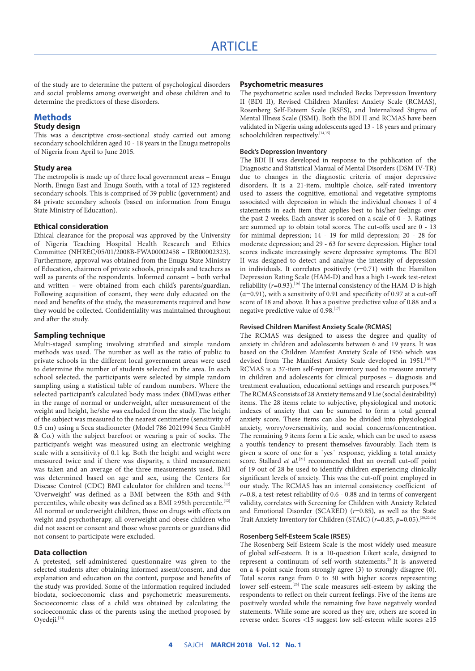of the study are to determine the pattern of psychological disorders and social problems among overweight and obese children and to determine the predictors of these disorders.

#### **Methods**

### **Study design**

This was a descriptive cross-sectional study carried out among secondary schoolchildren aged 10 - 18 years in the Enugu metropolis of Nigeria from April to June 2015.

#### **Study area**

The metropolis is made up of three local government areas – Enugu North, Enugu East and Enugu South, with a total of 123 registered secondary schools. This is comprised of 39 public (government) and 84 private secondary schools (based on information from Enugu State Ministry of Education).

#### **Ethical consideration**

Ethical clearance for the proposal was approved by the University of Nigeria Teaching Hospital Health Research and Ethics Committee (NHREC/05/01/2008B-FWA00002458 – IRB00002323). Furthermore, approval was obtained from the Enugu State Ministry of Education, chairmen of private schools, principals and teachers as well as parents of the respondents. Informed consent – both verbal and written – were obtained from each child's parents/guardian. Following acquisition of consent, they were duly educated on the need and benefits of the study, the measurements required and how they would be collected. Confidentiality was maintained throughout and after the study.

#### **Sampling technique**

Multi-staged sampling involving stratified and simple random methods was used. The number as well as the ratio of public to private schools in the different local government areas were used to determine the number of students selected in the area. In each school selected, the participants were selected by simple random sampling using a statistical table of random numbers. Where the selected participant's calculated body mass index (BMI)was either in the range of normal or underweight, after measurement of the weight and height, he/she was excluded from the study. The height of the subject was measured to the nearest centimetre (sensitivity of 0.5 cm) using a Seca stadiometer (Model 786 2021994 Seca GmbH & Co.) with the subject barefoot or wearing a pair of socks. The participant's weight was measured using an electronic weighing scale with a sensitivity of 0.1 kg. Both the height and weight were measured twice and if there was disparity, a third measurement was taken and an average of the three measurements used. BMI was determined based on age and sex, using the Centers for Disease Control (CDC) BMI calculator for children and teens.<sup>[12]</sup> 'Overweight' was defined as a BMI between the 85th and 94th percentiles, while obesity was defined as a BMI ≥95th percentile.<sup>[12]</sup> All normal or underweight children, those on drugs with effects on weight and psychotherapy, all overweight and obese children who did not assent or consent and those whose parents or guardians did not consent to participate were excluded.

#### **Data collection**

A pretested, self-administered questionnaire was given to the selected students after obtaining informed assent/consent, and due explanation and education on the content, purpose and benefits of the study was provided. Some of the information required included biodata, socioeconomic class and psychometric measurements. Socioeconomic class of a child was obtained by calculating the socioeconomic class of the parents using the method proposed by Ovedeji.<sup>[13]</sup>

#### **Psychometric measures**

The psychometric scales used included Becks Depression Inventory II (BDI II), Revised Children Manifest Anxiety Scale (RCMAS), Rosenberg Self-Esteem Scale (RSES), and Internalized Stigma of Mental Illness Scale (ISMI). Both the BDI II and RCMAS have been validated in Nigeria using adolescents aged 13 - 18 years and primary schoolchildren respectively.[14,15]

#### **Beck's Depression Inventory**

The BDI II was developed in response to the publication of the Diagnostic and Statistical Manual of Mental Disorders (DSM IV-TR) due to changes in the diagnostic criteria of major depressive disorders. It is a 21-item, multiple choice, self-rated inventory used to assess the cognitive, emotional and vegetative symptoms associated with depression in which the individual chooses 1 of 4 statements in each item that applies best to his/her feelings over the past 2 weeks**.** Each answer is scored on a scale of 0 - 3. Ratings are summed up to obtain total scores. The cut-offs used are 0 - 13 for minimal depression; 14 - 19 for mild depression; 20 - 28 for moderate depression; and 29 - 63 for severe depression. Higher total scores indicate increasingly severe depressive symptoms. The BDI II was designed to detect and analyse the intensity of depression in individuals. It correlates positively (*r*=0.71) with the Hamilton Depression Rating Scale (HAM-D) and has a high 1-week test-retest reliability ( $r$ =0.93).<sup>[16]</sup> The internal consistency of the HAM-D is high  $(\alpha=0.91)$ , with a sensitivity of 0.91 and specificity of 0.97 at a cut-off score of 18 and above. It has a positive predictive value of 0.88 and a negative predictive value of 0.98.<sup>[17]</sup>

#### **Revised Children Manifest Anxiety Scale (RCMAS)**

The RCMAS was designed to assess the degree and quality of anxiety in children and adolescents between 6 and 19 years. It was based on the Children Manifest Anxiety Scale of 1956 which was devised from The Manifest Anxiety Scale developed in 1951.<sup>[18,19]</sup> RCMAS is a 37-item self-report inventory used to measure anxiety in children and adolescents for clinical purposes – diagnosis and treatment evaluation, educational settings and research purposes.<sup>[20]</sup> The RCMAS consists of 28 Anxiety items and 9 Lie (social desirability) items. The 28 items relate to subjective, physiological and motoric indexes of anxiety that can be summed to form a total general anxiety score. These items can also be divided into physiological anxiety, worry/oversensitivity, and social concerns/concentration. The remaining 9 items form a Lie scale, which can be used to assess a youth's tendency to present themselves favourably. Each item is given a score of one for a 'yes' response, yielding a total anxiety score. Stallard *et al.*<sup>[21]</sup> recommended that an overall cut-off point of 19 out of 28 be used to identify children experiencing clinically significant levels of anxiety. This was the cut-off point employed in our study. The RCMAS has an internal consistency coefficient of *r*=0.8, a test-retest reliability of 0.6 - 0.88 and in terms of convergent validity, correlates with Screening for Children with Anxiety Related and Emotional Disorder (SCARED) (*r*=0.85), as well as the State Trait Anxiety Inventory for Children (STAIC) (*r*=0.85, *p*=0.05).[20,22-24]

#### **Rosenberg Self-Esteem Scale (RSES)**

The Rosenberg Self-Esteem Scale is the most widely used measure of global self-esteem. It is a 10-question Likert scale, designed to represent a continuum of self-worth statements.25 It is answered on a 4-point scale from strongly agree (3) to strongly disagree (0). Total scores range from 0 to 30 with higher scores representing lower self-esteem.<sup>[26]</sup> The scale measures self-esteem by asking the respondents to reflect on their current feelings. Five of the items are positively worded while the remaining five have negatively worded statements. While some are scored as they are, others are scored in reverse order. Scores <15 suggest low self-esteem while scores ≥15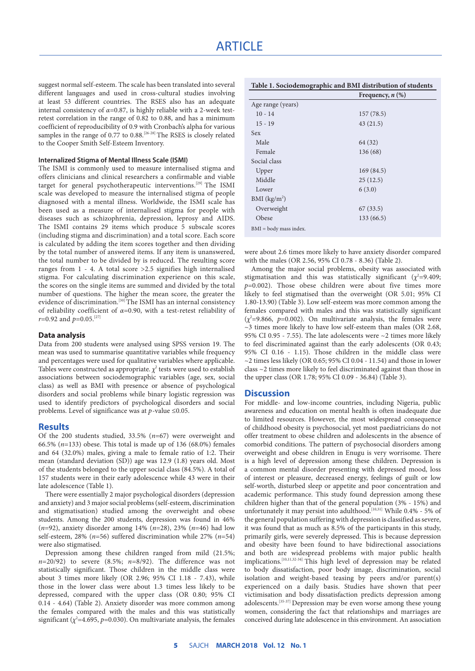suggest normal self-esteem. The scale has been translated into several different languages and used in cross-cultural studies involving at least 53 different countries. The RSES also has an adequate internal consistency of  $\alpha$ =0.87, is highly reliable with a 2-week testretest correlation in the range of 0.82 to 0.88, and has a minimum coefficient of reproducibility of 0.9 with Cronbach's alpha for various samples in the range of 0.77 to 0.88.<sup>[26-28]</sup> The RSES is closely related to the Cooper Smith Self-Esteem Inventory.

#### **Internalized Stigma of Mental Illness Scale (ISMI)**

The ISMI is commonly used to measure internalised stigma and offers clinicians and clinical researchers a confirmable and viable target for general psychotherapeutic interventions.[29] The ISMI scale was developed to measure the internalised stigma of people diagnosed with a mental illness. Worldwide, the ISMI scale has been used as a measure of internalised stigma for people with diseases such as schizophrenia, depression, leprosy and AIDS. The ISMI contains 29 items which produce 5 subscale scores (including stigma and discrimination) and a total score. Each score is calculated by adding the item scores together and then dividing by the total number of answered items. If any item is unanswered, the total number to be divided by is reduced. The resulting score ranges from 1 - 4. A total score >2.5 signifies high internalised stigma. For calculating discrimination experience on this scale, the scores on the single items are summed and divided by the total number of questions. The higher the mean score, the greater the evidence of discrimination.<sup>[30]</sup> The ISMI has an internal consistency of reliability coefficient of *α*=0.90, with a test-retest reliability of *r*=0.92 and *p*=0.05.[27]

#### **Data analysis**

Data from 200 students were analysed using SPSS version 19. The mean was used to summarise quantitative variables while frequency and percentages were used for qualitative variables where applicable. Tables were constructed as appropriate.  $\chi^2$  tests were used to establish associations between sociodemographic variables (age, sex, social class) as well as BMI with presence or absence of psychological disorders and social problems while binary logistic regression was used to identify predictors of psychological disorders and social problems. Level of significance was at *p*-value ≤0.05.

#### **Results**

Of the 200 students studied, 33.5% (*n*=67) were overweight and 66.5% (*n*=133) obese. This total is made up of 136 (68.0%) females and 64 (32.0%) males, giving a male to female ratio of 1:2. Their mean (standard deviation (SD)) age was 12.9 (1.8) years old. Most of the students belonged to the upper social class (84.5%). A total of 157 students were in their early adolescence while 43 were in their late adolescence (Table 1).

There were essentially 2 major psychological disorders (depression and anxiety) and 3 major social problems (self-esteem, discrimination and stigmatisation) studied among the overweight and obese students. Among the 200 students, depression was found in 46% (*n*=92), anxiety disorder among 14% (*n*=28), 23% (*n*=46) had low self-esteem, 28% (*n*=56) suffered discrimination while 27% (*n*=54) were also stigmatised.

Depression among these children ranged from mild (21.5%;  $n=20/92$ ) to severe (8.5%;  $n=8/92$ ). The difference was not statistically significant. Those children in the middle class were about 3 times more likely (OR 2.96; 95% CI 1.18 - 7.43), while those in the lower class were about 1.3 times less likely to be depressed, compared with the upper class (OR 0.80; 95% CI 0.14 - 4.64) (Table 2). Anxiety disorder was more common among the females compared with the males and this was statistically significant ( $\chi^2$ =4.695, p=0.030). On multivariate analysis, the females

|                   | Frequency, $n$ $(\%)$ |  |  |
|-------------------|-----------------------|--|--|
| Age range (years) |                       |  |  |
| $10 - 14$         | 157(78.5)             |  |  |
| $15 - 19$         | 43(21.5)              |  |  |
| Sex               |                       |  |  |
| Male              | 64 (32)               |  |  |
| Female            | 136 (68)              |  |  |
| Social class      |                       |  |  |
| Upper             | 169(84.5)             |  |  |
| Middle            | 25(12.5)              |  |  |
| Lower             | 6(3.0)                |  |  |
| BMI $(kg/m2)$     |                       |  |  |
| Overweight        | 67(33.5)              |  |  |
| Obese             | 133 (66.5)            |  |  |

were about 2.6 times more likely to have anxiety disorder compared with the males (OR 2.56, 95% CI 0.78 - 8.36) (Table 2).

Among the major social problems, obesity was associated with stigmatisation and this was statistically significant  $(\chi^2=9.409;$ *p*=0.002). Those obese children were about five times more likely to feel stigmatised than the overweight (OR 5.01; 95% CI 1.80-13.90) (Table 3). Low self-esteem was more common among the females compared with males and this was statistically significant  $(\chi^2 = 9.866, p = 0.002)$ . On multivariate analysis, the females were  $\sim$ 3 times more likely to have low self-esteem than males (OR 2.68, 95% CI 0.95 - 7.55). The late adolescents were ~2 times more likely to feel discriminated against than the early adolescents (OR 0.43; 95% CI 0.16 - 1.15). Those children in the middle class were  $\sim$ 2 times less likely (OR 0.65; 95% CI 0.04 - 11.54) and those in lower class ~2 times more likely to feel discriminated against than those in the upper class (OR 1.78; 95% CI 0.09 - 36.84) (Table 3).

#### **Discussion**

For middle- and low-income countries, including Nigeria, public awareness and education on mental health is often inadequate due to limited resources. However, the most widespread consequence of childhood obesity is psychosocial, yet most paediatricians do not offer treatment to obese children and adolescents in the absence of comorbid conditions. The pattern of psychosocial disorders among overweight and obese children in Enugu is very worrisome. There is a high level of depression among these children. Depression is a common mental disorder presenting with depressed mood, loss of interest or pleasure, decreased energy, feelings of guilt or low self-worth, disturbed sleep or appetite and poor concentration and academic performance. This study found depression among these children higher than that of the general population (3% - 15%) and unfortunately it may persist into adulthood.<sup>[10,31]</sup> While 0.4% - 5% of the general population suffering with depression is classified as severe, it was found that as much as 8.5% of the participants in this study, primarily girls, were severely depressed. This is because depression and obesity have been found to have bidirectional associations and both are widespread problems with major public health implications.[10,11,32-34] This high level of depression may be related to body dissatisfaction, poor body image, discrimination, social isolation and weight-based teasing by peers and/or parent(s) experienced on a daily basis. Studies have shown that peer victimisation and body dissatisfaction predicts depression among adolescents.[35-37] Depression may be even worse among these young women, considering the fact that relationships and marriages are conceived during late adolescence in this environment. An association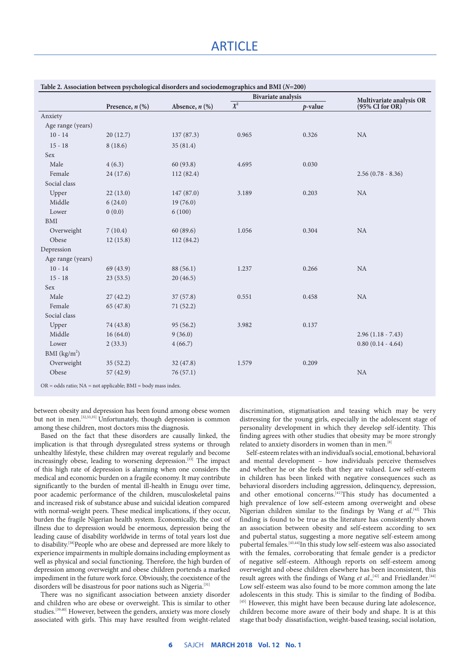### **ARTICLE**

|                          |                      | Absence, $n$ $(\%)$ | <b>Bivariate analysis</b> |            | Multivariate analysis OR |
|--------------------------|----------------------|---------------------|---------------------------|------------|--------------------------|
|                          | Presence, $n$ $(\%)$ |                     | $\overline{\chi^2}$       | $p$ -value | (95% CI for OR)          |
| Anxiety                  |                      |                     |                           |            |                          |
| Age range (years)        |                      |                     |                           |            |                          |
| $10 - 14$                | 20(12.7)             | 137 (87.3)          | 0.965                     | 0.326      | NA                       |
| $15 - 18$                | 8(18.6)              | 35(81.4)            |                           |            |                          |
| Sex                      |                      |                     |                           |            |                          |
| Male                     | 4(6.3)               | 60(93.8)            | 4.695                     | 0.030      |                          |
| Female                   | 24(17.6)             | 112(82.4)           |                           |            | $2.56(0.78 - 8.36)$      |
| Social class             |                      |                     |                           |            |                          |
| Upper                    | 22(13.0)             | 147 (87.0)          | 3.189                     | 0.203      | NA                       |
| Middle                   | 6(24.0)              | 19(76.0)            |                           |            |                          |
| Lower                    | 0(0.0)               | 6(100)              |                           |            |                          |
| <b>BMI</b>               |                      |                     |                           |            |                          |
| Overweight               | 7(10.4)              | 60(89.6)            | 1.056                     | 0.304      | NA                       |
| Obese                    | 12(15.8)             | 112(84.2)           |                           |            |                          |
| Depression               |                      |                     |                           |            |                          |
| Age range (years)        |                      |                     |                           |            |                          |
| $10 - 14$                | 69 (43.9)            | 88 (56.1)           | 1.237                     | 0.266      | NA                       |
| $15 - 18$                | 23(53.5)             | 20(46.5)            |                           |            |                          |
| Sex                      |                      |                     |                           |            |                          |
| Male                     | 27(42.2)             | 37(57.8)            | 0.551                     | 0.458      | NA                       |
| Female                   | 65 (47.8)            | 71(52.2)            |                           |            |                          |
| Social class             |                      |                     |                           |            |                          |
| Upper                    | 74 (43.8)            | 95(56.2)            | 3.982                     | 0.137      |                          |
| Middle                   | 16(64.0)             | 9(36.0)             |                           |            | $2.96(1.18 - 7.43)$      |
| Lower                    | 2(33.3)              | 4(66.7)             |                           |            | $0.80(0.14 - 4.64)$      |
| BMI (kg/m <sup>2</sup> ) |                      |                     |                           |            |                          |
| Overweight               | 35(52.2)             | 32(47.8)            | 1.579                     | 0.209      |                          |
| Obese                    | 57(42.9)             | 76(57.1)            |                           |            | NA                       |

between obesity and depression has been found among obese women but not in men. [32,33,35] Unfortunately, though depression is common among these children, most doctors miss the diagnosis.

Based on the fact that these disorders are causally linked, the implication is that through dysregulated stress systems or through unhealthy lifestyle, these children may overeat regularly and become increasingly obese, leading to worsening depression.[33] The impact of this high rate of depression is alarming when one considers the medical and economic burden on a fragile economy. It may contribute significantly to the burden of mental ill-health in Enugu over time, poor academic performance of the children, musculoskeletal pains and increased risk of substance abuse and suicidal ideation compared with normal-weight peers. These medical implications, if they occur, burden the fragile Nigerian health system. Economically, the cost of illness due to depression would be enormous, depression being the leading cause of disability worldwide in terms of total years lost due to disability.<sup>[38]</sup>People who are obese and depressed are more likely to experience impairments in multiple domains including employment as well as physical and social functioning. Therefore, the high burden of depression among overweight and obese children portends a marked impediment in the future work force. Obviously, the coexistence of the disorders will be disastrous for poor nations such as Nigeria.<sup>[31]</sup>

There was no significant association between anxiety disorder and children who are obese or overweight. This is similar to other studies.[39,40] However, between the genders, anxiety was more closely associated with girls. This may have resulted from weight-related

discrimination, stigmatisation and teasing which may be very distressing for the young girls, especially in the adolescent stage of personality development in which they develop self-identity. This finding agrees with other studies that obesity may be more strongly related to anxiety disorders in women than in men.<sup>[8]</sup>

Self-esteem relates with an individual's social, emotional, behavioral and mental development – how individuals perceive themselves and whether he or she feels that they are valued. Low self-esteem in children has been linked with negative consequences such as behavioral disorders including aggression, delinquency, depression, and other emotional concerns.<sup>[41]</sup>This study has documented a high prevalence of low self-esteem among overweight and obese Nigerian children similar to the findings by Wang *et al*. [42] This finding is found to be true as the literature has consistently shown an association between obesity and self-esteem according to sex and pubertal status, suggesting a more negative self-esteem among pubertal females.<sup>[43,44]</sup>In this study low self-esteem was also associated with the females, corroborating that female gender is a predictor of negative self-esteem. Although reports on self-esteem among overweight and obese children elsewhere has been inconsistent, this result agrees with the findings of Wang et al.,<sup>[42]</sup> and Friedlander.<sup>[44]</sup> Low self-esteem was also found to be more common among the late adolescents in this study. This is similar to the finding of Bodiba. [45] However, this might have been because during late adolescence, children become more aware of their body and shape. It is at this stage that body dissatisfaction, weight-based teasing, social isolation,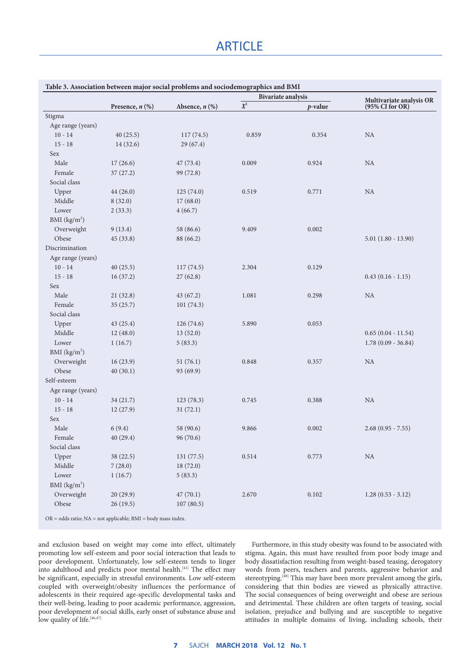## **ARTICLE**

|                          |                                                                       |                     | <b>Bivariate analysis</b> |            | Multivariate analysis OR |
|--------------------------|-----------------------------------------------------------------------|---------------------|---------------------------|------------|--------------------------|
|                          | Presence, $n$ $(\%)$                                                  | Absence, $n$ $(\%)$ | $\overline{\chi^2}$       | $p$ -value | (95% CI for OR)          |
| Stigma                   |                                                                       |                     |                           |            |                          |
| Age range (years)        |                                                                       |                     |                           |            |                          |
| $10 - 14$                | 40(25.5)                                                              | 117(74.5)           | 0.859                     | 0.354      | NA                       |
| $15 - 18$                | 14 (32.6)                                                             | 29(67.4)            |                           |            |                          |
| Sex                      |                                                                       |                     |                           |            |                          |
| Male                     | 17(26.6)                                                              | 47 (73.4)           | 0.009                     | 0.924      | $\rm NA$                 |
| Female                   | 37(27.2)                                                              | 99 (72.8)           |                           |            |                          |
| Social class             |                                                                       |                     |                           |            |                          |
| Upper                    | 44(26.0)                                                              | 125(74.0)           | 0.519                     | 0.771      | $\rm NA$                 |
| Middle                   | 8(32.0)                                                               | 17(68.0)            |                           |            |                          |
| Lower                    | 2(33.3)                                                               | 4(66.7)             |                           |            |                          |
| BMI $(kg/m2)$            |                                                                       |                     |                           |            |                          |
| Overweight               | 9(13.4)                                                               | 58 (86.6)           | 9.409                     | 0.002      |                          |
| Obese                    | 45(33.8)                                                              | 88 (66.2)           |                           |            | $5.01(1.80 - 13.90)$     |
| Discrimination           |                                                                       |                     |                           |            |                          |
| Age range (years)        |                                                                       |                     |                           |            |                          |
| $10 - 14$                | 40(25.5)                                                              | 117(74.5)           | 2.304                     | 0.129      |                          |
| $15 - 18$                | 16(37.2)                                                              | 27(62.8)            |                           |            | $0.43(0.16 - 1.15)$      |
| Sex                      |                                                                       |                     |                           |            |                          |
| Male                     | 21(32.8)                                                              | 43 (67.2)           | 1.081                     | 0.298      | $\rm NA$                 |
| Female                   | 35(25.7)                                                              | 101(74.3)           |                           |            |                          |
| Social class             |                                                                       |                     |                           |            |                          |
| Upper                    | 43(25.4)                                                              | 126(74.6)           | 5.890                     | 0.053      |                          |
| Middle                   | 12(48.0)                                                              | 13(52.0)            |                           |            | $0.65(0.04 - 11.54)$     |
| Lower                    | 1(16.7)                                                               | 5(83.3)             |                           |            | $1.78(0.09 - 36.84)$     |
| BMI (kg/m <sup>2</sup> ) |                                                                       |                     |                           |            |                          |
| Overweight               | 16(23.9)                                                              | 51(76.1)            | 0.848                     | 0.357      | $\rm NA$                 |
| Obese                    | 40(30.1)                                                              | 93 (69.9)           |                           |            |                          |
| Self-esteem              |                                                                       |                     |                           |            |                          |
| Age range (years)        |                                                                       |                     |                           |            |                          |
| $10 - 14$                | 34 (21.7)                                                             | 123(78.3)           | 0.745                     | 0.388      | $\rm NA$                 |
| $15 - 18$                | 12(27.9)                                                              | 31(72.1)            |                           |            |                          |
| Sex                      |                                                                       |                     |                           |            |                          |
| Male                     | 6(9.4)                                                                | 58 (90.6)           | 9.866                     | 0.002      | $2.68(0.95 - 7.55)$      |
| Female                   | 40(29.4)                                                              | 96 (70.6)           |                           |            |                          |
| Social class             |                                                                       |                     |                           |            |                          |
| Upper                    | 38 (22.5)                                                             | 131 (77.5)          | 0.514                     | 0.773      | NA                       |
| Middle                   | 7(28.0)                                                               | 18(72.0)            |                           |            |                          |
| Lower                    | 1(16.7)                                                               | 5(83.3)             |                           |            |                          |
| BMI $(kg/m2)$            |                                                                       |                     |                           |            |                          |
| Overweight               | 20(29.9)                                                              | 47(70.1)            | 2.670                     | 0.102      | $1.28(0.53 - 3.12)$      |
| Obese                    | 26(19.5)                                                              | 107(80.5)           |                           |            |                          |
|                          | $OR = odds ratio$ ; $NA = not applicable$ ; $BMI = body mass index$ . |                     |                           |            |                          |

and exclusion based on weight may come into effect, ultimately promoting low self-esteem and poor social interaction that leads to poor development. Unfortunately, low self-esteem tends to linger into adulthood and predicts poor mental health.<sup>[41]</sup> The effect may be significant, especially in stressful environments. Low self-esteem coupled with overweight/obesity influences the performance of adolescents in their required age-specific developmental tasks and their well-being, leading to poor academic performance, aggression, poor development of social skills, early onset of substance abuse and low quality of life.<sup>[46,47]</sup>

Furthermore, in this study obesity was found to be associated with stigma. Again, this must have resulted from poor body image and body dissatisfaction resulting from weight-based teasing, derogatory words from peers, teachers and parents, aggressive behavior and stereotyping.<sup>[48]</sup> This may have been more prevalent among the girls, considering that thin bodies are viewed as physically attractive. The social consequences of being overweight and obese are serious and detrimental. These children are often targets of teasing, social isolation, prejudice and bullying and are susceptible to negative attitudes in multiple domains of living, including schools, their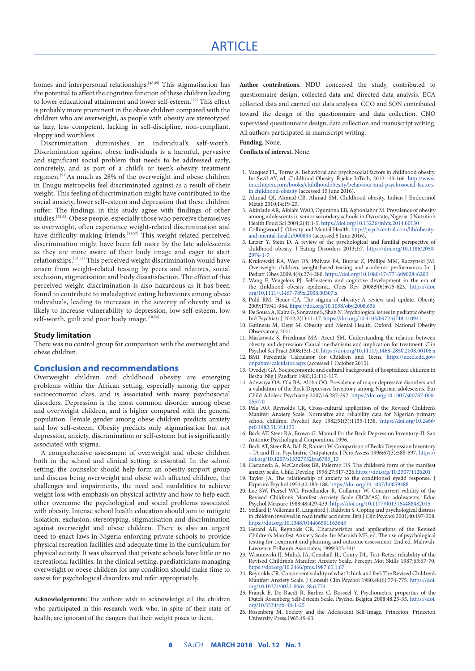### ARTICLE

homes and interpersonal relationships.<sup>[48,49]</sup> This stigmatisation has the potential to affect the cognitive function of these children leading to lower educational attainment and lower self-esteem. [50] This effect is probably more prominent in the obese children compared with the children who are overweight, as people with obesity are stereotyped as lazy, less competent, lacking in self-discipline, non-compliant, sloppy and worthless.

Discrimination diminishes an individual's self-worth. Discrimination against obese individuals is a harmful, pervasive and significant social problem that needs to be addressed early, concretely, and as part of a child's or teen's obesity treatment regimen.<sup>[51]</sup>As much as 28% of the overweight and obese children in Enugu metropolis feel discriminated against as a result of their weight. This feeling of discrimination might have contributed to the social anxiety, lower self-esteem and depression that these children suffer. The findings in this study agree with findings of other studies.[52,53] Obese people, especially those who perceive themselves as overweight, often experience weight-related discrimination and have difficulty making friends.<sup>[51,52]</sup> This weight-related perceived discrimination might have been felt more by the late adolescents as they are more aware of their body image and eager to start relationships.[52,53] This perceived weight discrimination would have arisen from weight-related teasing by peers and relatives, social exclusion, stigmatisation and body dissatisfaction. The effect of this perceived weight discrimination is also hazardous as it has been found to contribute to maladaptive eating behaviours among obese individuals, leading to increases in the severity of obesity and is likely to increase vulnerability to depression, low self-esteem, low self-worth, guilt and poor body image.[10,54]

#### **Study limitation**

There was no control group for comparison with the overweight and obese children.

#### **Conclusion and recommendations**

Overweight children and childhood obesity are emerging problems within the African setting, especially among the upper socioeconomic class, and is associated with many psychosocial disorders. Depression is the most common disorder among obese and overweight children, and is higher compared with the general population. Female gender among obese children predicts anxiety and low self-esteem. Obesity predicts only stigmatisation but not depression, anxiety, discrimination or self-esteem but is significantly associated with stigma.

A comprehensive assessment of overweight and obese children both in the school and clinical setting is essential. In the school setting, the counselor should help form an obesity support group and discuss being overweight and obese with affected children, the challenges and impairments, the need and modalities to achieve weight loss with emphasis on physical activity and how to help each other overcome the psychological and social problems associated with obesity. Intense school health education should aim to mitigate isolation, exclusion, stereotyping, stigmatisation and discrimination against overweight and obese children. There is also an urgent need to enact laws in Nigeria enforcing private schools to provide physical recreation facilities and adequate time in the curriculum for physical activity. It was observed that private schools have little or no recreational facilities. In the clinical setting, paediatricians managing overweight or obese children for any condition should make time to assess for psychological disorders and refer appropriately.

**Acknowledgements:** The authors wish to acknowledge all the children who participated in this research work who, in spite of their state of health, are ignorant of the dangers that their weight poses to them.

**Author contributions.** NDU conceived the study, contributed to questionnaire design, collected data and directed data analysis. ECA collected data and carried out data analysis. CCO and SON contributed toward the design of the questionnaire and data collection. CNO supervised questionnaire design, data collection and manuscript writing. All authors participated in manuscript writing.

**Funding.** None.

**Conflicts of interest.** None.

- 1. Vazquez FL, Torres A. Behavioral and psychosocial factors in childhood obesity. In: Sevil AY, ed. Childhood Obesity. Rijeka: InTech, 2012:143-166. [http://www.](http://www.intechopen.com/books/childhoodobesity/behaviour-and-psychosocial-factors- in childhood-obesity) [intechopen.com/books/childhood](http://www.intechopen.com/books/childhoodobesity/behaviour-and-psychosocial-factors- in childhood-obesity)obesity/behaviour-and-psychosocial-factorsin childhood-obesity (accessed 15 June 2016).
- 2. Ahmad QI, Ahmad CB, Ahmad SM. Childhood obesity. Indian J Endocrinol Metab 2010;14:19-25.
- 3. Akinlade AR, Afolabi WAO, Oguntona EB, Agbonlahor M. Prevalence of obesity among adolescents in senior secondary schools in Oyo state, Nigeria. J Nutrition Health Food Sci 2004;2(4):1-5. https://doi.org/10.15226/jnhfs.2014.00130
- 4. Collingwood J. Obesity and Mental Health. [http://psychcentral.com/lib/obesity](http://psychcentral.com/lib/obesity-and-mental-health/000895)[and-mental-health/000895](http://psychcentral.com/lib/obesity-and-mental-health/000895) (accessed 5 June 2016).
- 5. Latzer Y, Stein D. A review of the psychological and familial perspective of childhood obesity. J Eating Disorders 2013;1:7. [https://doi.org/10.1186/2050-](https://doi.org/10.1186/2050-2974-1-7 ) [2974-1-7](https://doi.org/10.1186/2050-2974-1-7 )
- 6. Krukowski RA, West DS, Philyaw PA, Bursac Z, Phillips MM, Raczynski JM. Overweight children, weight-based teasing and academic performance**.** Int J Pediatr Obes 2009;4(4)**:**274-280. https://doi.org/10.1080/17477160902846203
- 7. Wang F, Veugelers PJ. Self-esteem and cognitive development in the era of the childhood obesity epidemic. Obes Rev 2008;9(6)**:**615-623. [https://doi.](https://doi.org/10.1111/j.1467-789x.2008.00507.x ) [org/10.1111/j.1467-789x.2008.00507.x](https://doi.org/10.1111/j.1467-789x.2008.00507.x )
- 8. Puhl RM, Heuer CA. The stigma of obesity: A review and update. Obesity 2009;17:941-964. https://doi.org/10.1038/oby.2008.636
- 9. De Sousa A, Kalra G, Sonavane S, Shah N. Psychological issues in pediatric obesity. Ind Psychiatr J 2012;2(1):11-17.<https://doi.org/10.4103/0972-6748.110941>
- 10. Gatineau M, Dent M. Obesity and Mental Health. Oxford: National Obesity Observatory, 2011.
- 11. Markowitz S, Friedman MA, Arent SM. Understanding the relation between obesity and depression: Causal mechanisms and implication for treatment. Clin Psychol Sci Pract 2008;15:1-20.<https://doi.org/10.1111/j.1468-2850.2008.00106.x>
- 12. BMI Percentile Calculator for Children and Teens. [https://nccd.cdc.gov/](https://nccd.cdc.gov/dnpabmi/calculator.aspx) [dnpabmi/calculator.aspx](https://nccd.cdc.gov/dnpabmi/calculator.aspx) (accessed 1 October 2015). 13. Oyedeji GA. Socioeconomic and cultural background of hospitalized children in
- Ilesha. Nig J Paediatr 1985;12:111-117.
- 14. Adewuya OA, Ola BA, Aloba OO. Prevalence of major depressive disorders and a validation of the Beck Depressive Inventory among Nigerian adolescents. Eur Child Adolesc Psychiatry 2007;16:287-292. [https://doi.org/10.1007/s00787-006-](https://doi.org/10.1007/s00787-006-0557-0 ) [0557-0](https://doi.org/10.1007/s00787-006-0557-0 )
- 15. Pela AO, Reynolds CR. Cross-cultural application of the Revised Children's Manifest Anxiety Scale: Normative and reliability data for Nigerian primary school children. Psychol Rep 1982;51(3):1135-1138. [https://doi.org/10.2466/](https://doi.org/10.2466/pr0.1982.51.3f.1135 ) [pr0.1982.51.3f.1135](https://doi.org/10.2466/pr0.1982.51.3f.1135 )
- 16. Beck AT, Steer RA, Brown G. Manual for the Beck Depression Inventory-II. San Antonio: Psychological Corporation, 1996.
- 17. Beck AT, Steer RA, Ball R, Ranieri W. Comparison of Beck's Depression Inventory – IA and II in Psychiatric Outpatients. J Pers Assess 1996;67(3):588-597. [https://](https://doi.org/10.1207/s15327752jpa6703_13 ) [doi.org/10.1207/s15327752jpa6703\\_13](https://doi.org/10.1207/s15327752jpa6703_13 )
- 18. Castaneda A, McCandless BR, Palermo DS. The children's form of the manifest anxiety scale. Child Develop 1956;27:317-326.https://doi.org/10.2307/1126201
- 19. Taylor JA. The relationship of anxiety to the conditioned eyelid response. J Experim Psychol 1951;42:183-188. https://doi.org/10.1037/h0059488
- 20. Lee SW, Piersel WC, Friedlander R, Collamer W. Concurrent validity of the Revised Children's Manifest Anxiety Scale (RCMAS) for adolescents. Educ Psychol Measure 1988;48:429-433. https://doi.org/10.1177/0013164488482015
- 21. Stallard P, Velleman R, Langsford J, Baldwin S. Coping and psychological distress in children involved in road traffic accidents. Brit J Clin Psychol 2001;40:197-208. https://doi.org/10.1348/014466501163643
- 22. Gerard AB, Reynolds CR. Characteristics and applications of the Revised Children's Manifest Anxiety Scale. In: Maruish ME, ed. The use of psychological testing for treatment and planning and outcome assessment. 2nd ed. Mahwah, Lawrence Erlbaum Associates; 1999:323-340.
- 23. Wisniewski JJ, Mulick JA, Genshaft JL, Coury DL. Test-Retest reliability of the Revised Children's Manifest Anxiety Scale. Percept Mot Skills 1987;65:67-70. https://doi.org/10.2466/pms.1987.65.1.67
- 24. Reynolds CR. Concurrent validity of what I think and feel: The Revised Children's Manifest Anxiety Scale. J Consult Clin Psychol 1980;48(6):774-775. [https://doi.](https://doi.org/10.1037//0022-006x.48.6.774 ) [org/10.1037//0022-006x.48.6.774](https://doi.org/10.1037//0022-006x.48.6.774 )
- 25. Franck E, De Raedt R, Barbez C, Rosseel Y. Psychometric properties of the Dutch Rosenberg Self-Esteem Scale. Psychol Belgica 2008;48:25-35. [https://doi.](https://doi.org/10.5334/pb-48-1-25 ) [org/10.5334/pb-48-1-25](https://doi.org/10.5334/pb-48-1-25 )
- 26. Rosenberg M. Society and the Adolescent Self-Image. Princeton: Princeton University Press,1965:49-63.